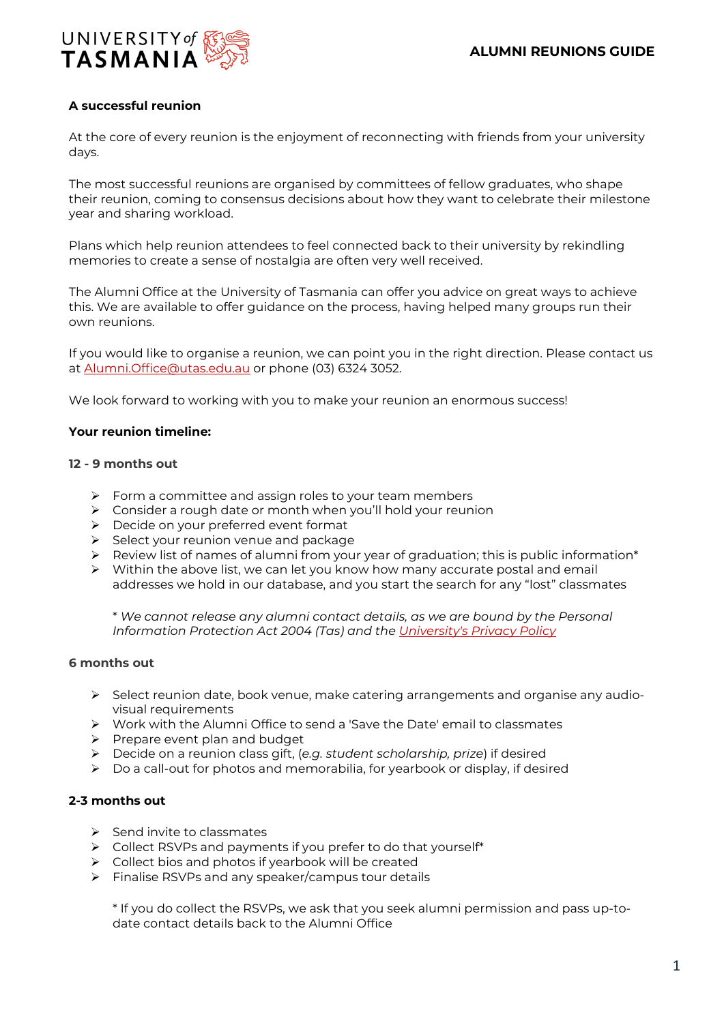

# **A successful reunion**

At the core of every reunion is the enjoyment of reconnecting with friends from your university days.

The most successful reunions are organised by committees of fellow graduates, who shape their reunion, coming to consensus decisions about how they want to celebrate their milestone year and sharing workload.

Plans which help reunion attendees to feel connected back to their university by rekindling memories to create a sense of nostalgia are often very well received.

The Alumni Office at the University of Tasmania can offer you advice on great ways to achieve this. We are available to offer guidance on the process, having helped many groups run their own reunions.

If you would like to organise a reunion, we can point you in the right direction. Please contact us at [Alumni.Office@utas.edu.au](mailto:Alumni.Office@utas.edu.au) or phone (03) 6324 3052.

We look forward to working with you to make your reunion an enormous success!

#### **Your reunion timeline:**

#### **12 - 9 months out**

- $\triangleright$  Form a committee and assign roles to your team members
- Consider a rough date or month when you'll hold your reunion
- Decide on your preferred event format
- $\triangleright$  Select your reunion venue and package
- $\triangleright$  Review list of names of alumni from your year of graduation; this is public information\*
- $\triangleright$  Within the above list, we can let you know how many accurate postal and email addresses we hold in our database, and you start the search for any "lost" classmates

\* *We cannot release any alumni contact details, as we are bound by the Personal Information Protection Act 2004 (Tas) and the [University's Privacy Policy](https://www.utas.edu.au/privacy)*

#### **6 months out**

- $\triangleright$  Select reunion date, book venue, make catering arrangements and organise any audiovisual requirements
- Work with the Alumni Office to send a 'Save the Date' email to classmates
- $\triangleright$  Prepare event plan and budget
- Decide on a reunion class gift, (*e.g. student scholarship, prize*) if desired
- $\triangleright$  Do a call-out for photos and memorabilia, for yearbook or display, if desired

## **2-3 months out**

- $\triangleright$  Send invite to classmates
- $\triangleright$  Collect RSVPs and payments if you prefer to do that yourself\*
- $\triangleright$  Collect bios and photos if yearbook will be created
- $\triangleright$  Finalise RSVPs and any speaker/campus tour details

\* If you do collect the RSVPs, we ask that you seek alumni permission and pass up-todate contact details back to the Alumni Office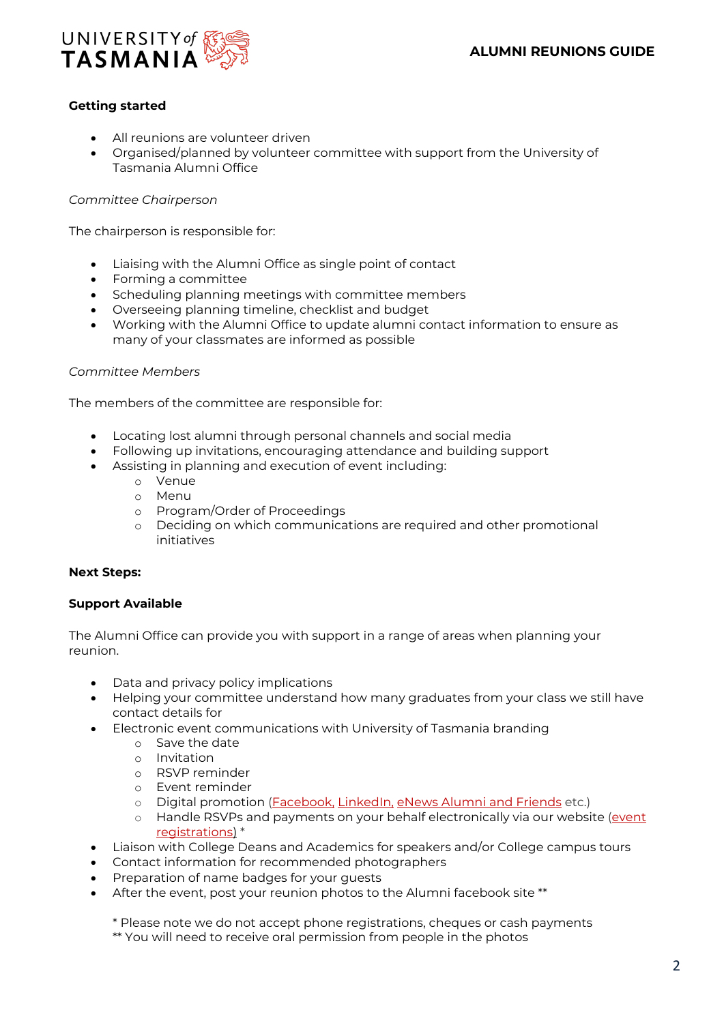

# **Getting started**

- All reunions are volunteer driven
- Organised/planned by volunteer committee with support from the University of Tasmania Alumni Office

### *Committee Chairperson*

The chairperson is responsible for:

- Liaising with the Alumni Office as single point of contact
- Forming a committee
- Scheduling planning meetings with committee members
- Overseeing planning timeline, checklist and budget
- Working with the Alumni Office to update alumni contact information to ensure as many of your classmates are informed as possible

### *Committee Members*

The members of the committee are responsible for:

- Locating lost alumni through personal channels and social media
- Following up invitations, encouraging attendance and building support
- Assisting in planning and execution of event including:
	- o Venue
	- o Menu
	- o Program/Order of Proceedings
	- o Deciding on which communications are required and other promotional initiatives

#### **Next Steps:**

## **Support Available**

The Alumni Office can provide you with support in a range of areas when planning your reunion.

- Data and privacy policy implications
- Helping your committee understand how many graduates from your class we still have contact details for
- Electronic event communications with University of Tasmania branding
	- o Save the date
	- o Invitation
	- o RSVP reminder
	- o Event reminder
	- o Digital promotion [\(Facebook,](https://www.facebook.com/UTASAlumni?ref=ts) [LinkedIn,](https://www.linkedin.com/groups/?mostPopular=&gid=2279013) [eNews Alumni and Friends](https://www.utasalumni.org.au/eNews) etc.)
	- o Handle RSVPs and payments on your behalf electronically via our website (event [registrations\)](https://www.utasalumni.org.au/) \*
- Liaison with College Deans and Academics for speakers and/or College campus tours
- Contact information for recommended photographers
- Preparation of name badges for your guests
- After the event, post your reunion photos to the Alumni facebook site \*\*

\* Please note we do not accept phone registrations, cheques or cash payments \*\* You will need to receive oral permission from people in the photos